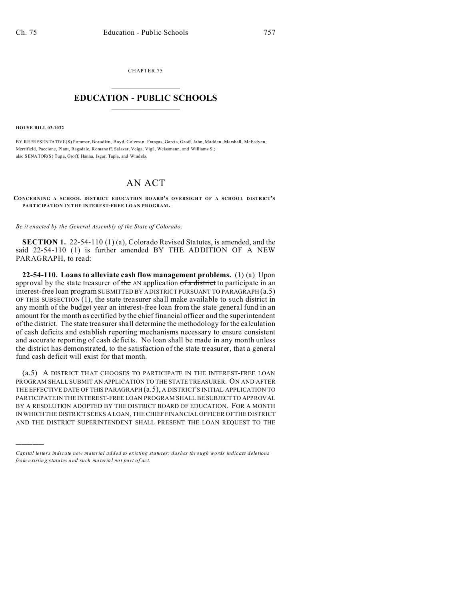CHAPTER 75  $\overline{\phantom{a}}$  , where  $\overline{\phantom{a}}$ 

## **EDUCATION - PUBLIC SCHOOLS**  $\_$   $\_$   $\_$   $\_$   $\_$   $\_$   $\_$   $\_$   $\_$

**HOUSE BILL 03-1032**

)))))

BY REPRESENTATIVE(S) Pommer, Borodkin, Boyd, Coleman, Frangas, Garcia, Groff, Jahn, Madden, Marshall, McFadyen, Merrifield, Paccione, Plant, Ragsdale, Romanoff, Salazar, Veiga, Vigil, Weissmann, and Williams S.; also SENATOR(S) Tupa, Groff, Hanna, Isgar, Tapia, and Windels.

## AN ACT

**CONCERNING A SCHOOL DISTRICT EDUCATION BO ARD'S OVERSIGHT OF A SCHOO L DISTRICT'S PARTICIPATION IN THE INTEREST-FREE LO AN PROGRAM .**

*Be it enacted by the General Assembly of the State of Colorado:*

**SECTION 1.** 22-54-110 (1) (a), Colorado Revised Statutes, is amended, and the said 22-54-110 (1) is further amended BY THE ADDITION OF A NEW PARAGRAPH, to read:

**22-54-110. Loans to alleviate cash flow management problems.** (1) (a) Upon approval by the state treasurer of the AN application of a district to participate in an interest-free loan program SUBMITTED BY ADISTRICT PURSUANT TO PARAGRAPH (a.5) OF THIS SUBSECTION (1), the state treasurer shall make available to such district in any month of the budget year an interest-free loan from the state general fund in an amount for the month as certified by the chief financial officer and the superintendent of the district. The state treasurer shall determine the methodology for the calculation of cash deficits and establish reporting mechanisms necessary to ensure consistent and accurate reporting of cash deficits. No loan shall be made in any month unless the district has demonstrated, to the satisfaction of the state treasurer, that a general fund cash deficit will exist for that month.

(a.5) A DISTRICT THAT CHOOSES TO PARTICIPATE IN THE INTEREST-FREE LOAN PROGRAM SHALL SUBMIT AN APPLICATION TO THE STATE TREASURER. ON AND AFTER THE EFFECTIVE DATE OF THIS PARAGRAPH (a.5), A DISTRICT'S INITIAL APPLICATION TO PARTICIPATE IN THE INTEREST-FREE LOAN PROGRAM SHALL BE SUBJECT TO APPROVAL BY A RESOLUTION ADOPTED BY THE DISTRICT BOARD OF EDUCATION. FOR A MONTH IN WHICH THE DISTRICT SEEKS A LOAN, THE CHIEF FINANCIAL OFFICER OF THE DISTRICT AND THE DISTRICT SUPERINTENDENT SHALL PRESENT THE LOAN REQUEST TO THE

*Capital letters indicate new material added to existing statutes; dashes through words indicate deletions from e xistin g statu tes a nd such ma teria l no t pa rt of ac t.*